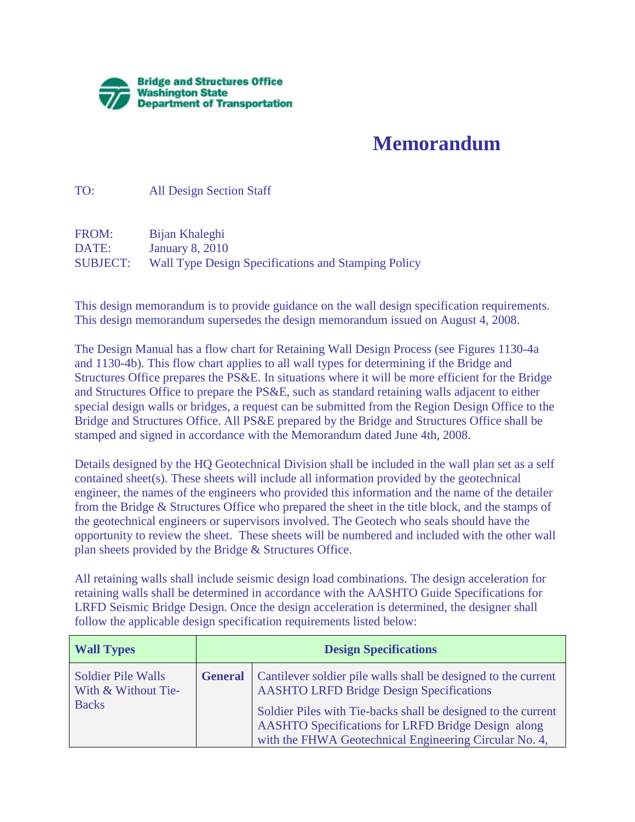

## **Memorandum**

TO: All Design Section Staff

FROM: Bijan Khaleghi DATE: January 8, 2010 SUBJECT: Wall Type Design Specifications and Stamping Policy

This design memorandum is to provide guidance on the wall design specification requirements. This design memorandum supersedes the design memorandum issued on August 4, 2008.

The Design Manual has a flow chart for Retaining Wall Design Process (see Figures 1130-4a and 1130-4b). This flow chart applies to all wall types for determining if the Bridge and Structures Office prepares the PS&E. In situations where it will be more efficient for the Bridge and Structures Office to prepare the PS&E, such as standard retaining walls adjacent to either special design walls or bridges, a request can be submitted from the Region Design Office to the Bridge and Structures Office. All PS&E prepared by the Bridge and Structures Office shall be stamped and signed in accordance with the Memorandum dated June 4th, 2008.

Details designed by the HQ Geotechnical Division shall be included in the wall plan set as a self contained sheet(s). These sheets will include all information provided by the geotechnical engineer, the names of the engineers who provided this information and the name of the detailer from the Bridge & Structures Office who prepared the sheet in the title block, and the stamps of the geotechnical engineers or supervisors involved. The Geotech who seals should have the opportunity to review the sheet. These sheets will be numbered and included with the other wall plan sheets provided by the Bridge & Structures Office.

All retaining walls shall include seismic design load combinations. The design acceleration for retaining walls shall be determined in accordance with the AASHTO Guide Specifications for LRFD Seismic Bridge Design. Once the design acceleration is determined, the designer shall follow the applicable design specification requirements listed below:

| <b>Wall Types</b>                                                | <b>Design Specifications</b> |                                                                                                                                                                                                                                                                                                    |
|------------------------------------------------------------------|------------------------------|----------------------------------------------------------------------------------------------------------------------------------------------------------------------------------------------------------------------------------------------------------------------------------------------------|
| <b>Soldier Pile Walls</b><br>With & Without Tie-<br><b>Backs</b> | <b>General</b>               | Cantilever soldier pile walls shall be designed to the current<br><b>AASHTO LRFD Bridge Design Specifications</b><br>Soldier Piles with Tie-backs shall be designed to the current<br>AASHTO Specifications for LRFD Bridge Design along<br>with the FHWA Geotechnical Engineering Circular No. 4, |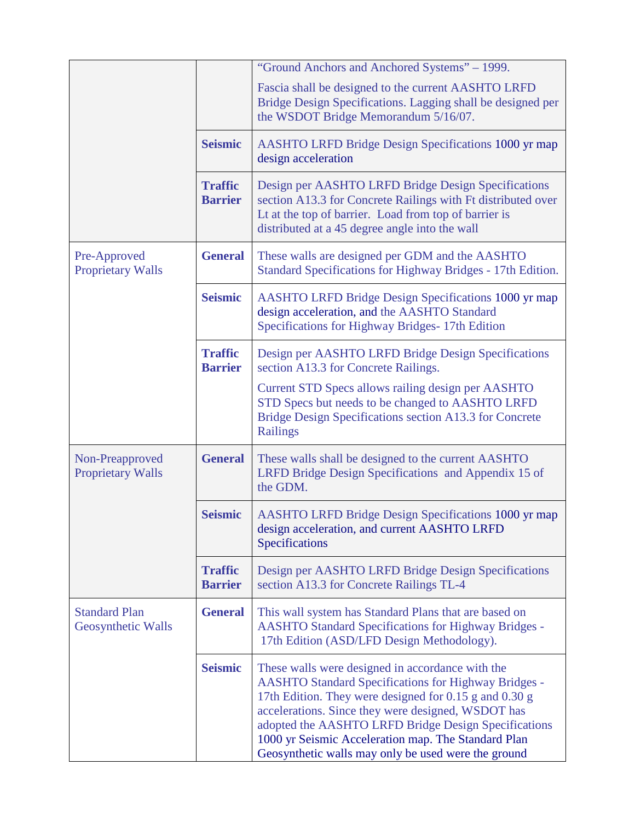|                                             |                                  | "Ground Anchors and Anchored Systems" - 1999.<br>Fascia shall be designed to the current AASHTO LRFD<br>Bridge Design Specifications. Lagging shall be designed per<br>the WSDOT Bridge Memorandum 5/16/07.                                                                                                                                                                                           |
|---------------------------------------------|----------------------------------|-------------------------------------------------------------------------------------------------------------------------------------------------------------------------------------------------------------------------------------------------------------------------------------------------------------------------------------------------------------------------------------------------------|
|                                             | <b>Seismic</b>                   | <b>AASHTO LRFD Bridge Design Specifications 1000 yr map</b><br>design acceleration                                                                                                                                                                                                                                                                                                                    |
|                                             | <b>Traffic</b><br><b>Barrier</b> | Design per AASHTO LRFD Bridge Design Specifications<br>section A13.3 for Concrete Railings with Ft distributed over<br>Lt at the top of barrier. Load from top of barrier is<br>distributed at a 45 degree angle into the wall                                                                                                                                                                        |
| Pre-Approved<br><b>Proprietary Walls</b>    | <b>General</b>                   | These walls are designed per GDM and the AASHTO<br>Standard Specifications for Highway Bridges - 17th Edition.                                                                                                                                                                                                                                                                                        |
|                                             | <b>Seismic</b>                   | <b>AASHTO LRFD Bridge Design Specifications 1000 yr map</b><br>design acceleration, and the AASHTO Standard<br>Specifications for Highway Bridges-17th Edition                                                                                                                                                                                                                                        |
|                                             | <b>Traffic</b><br><b>Barrier</b> | Design per AASHTO LRFD Bridge Design Specifications<br>section A13.3 for Concrete Railings.                                                                                                                                                                                                                                                                                                           |
|                                             |                                  | Current STD Specs allows railing design per AASHTO<br>STD Specs but needs to be changed to AASHTO LRFD<br>Bridge Design Specifications section A13.3 for Concrete<br>Railings                                                                                                                                                                                                                         |
| Non-Preapproved<br><b>Proprietary Walls</b> | <b>General</b>                   | These walls shall be designed to the current AASHTO<br>LRFD Bridge Design Specifications and Appendix 15 of<br>the GDM.                                                                                                                                                                                                                                                                               |
|                                             | <b>Seismic</b>                   | <b>AASHTO LRFD Bridge Design Specifications 1000 yr map</b><br>design acceleration, and current AASHTO LRFD<br>Specifications                                                                                                                                                                                                                                                                         |
|                                             | <b>Traffic</b><br><b>Barrier</b> | Design per AASHTO LRFD Bridge Design Specifications<br>section A13.3 for Concrete Railings TL-4                                                                                                                                                                                                                                                                                                       |
| <b>Standard Plan</b><br>Geosynthetic Walls  | <b>General</b>                   | This wall system has Standard Plans that are based on<br><b>AASHTO Standard Specifications for Highway Bridges -</b><br>17th Edition (ASD/LFD Design Methodology).                                                                                                                                                                                                                                    |
|                                             | <b>Seismic</b>                   | These walls were designed in accordance with the<br><b>AASHTO Standard Specifications for Highway Bridges -</b><br>17th Edition. They were designed for 0.15 g and 0.30 g<br>accelerations. Since they were designed, WSDOT has<br>adopted the AASHTO LRFD Bridge Design Specifications<br>1000 yr Seismic Acceleration map. The Standard Plan<br>Geosynthetic walls may only be used were the ground |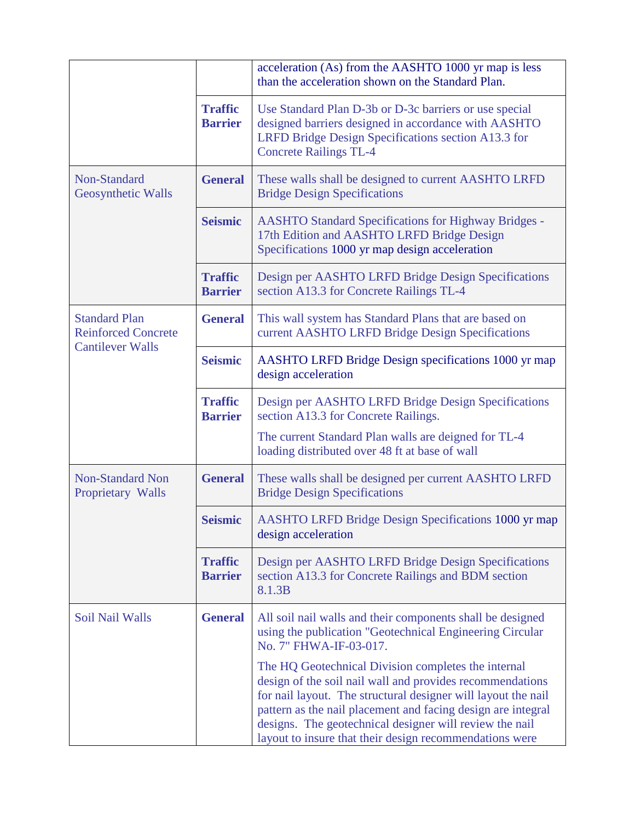|                                                                               |                                  | acceleration (As) from the AASHTO 1000 yr map is less<br>than the acceleration shown on the Standard Plan.                                                                                                                                                                                                                                                              |
|-------------------------------------------------------------------------------|----------------------------------|-------------------------------------------------------------------------------------------------------------------------------------------------------------------------------------------------------------------------------------------------------------------------------------------------------------------------------------------------------------------------|
|                                                                               | <b>Traffic</b><br><b>Barrier</b> | Use Standard Plan D-3b or D-3c barriers or use special<br>designed barriers designed in accordance with AASHTO<br>LRFD Bridge Design Specifications section A13.3 for<br><b>Concrete Railings TL-4</b>                                                                                                                                                                  |
| Non-Standard<br>Geosynthetic Walls                                            | <b>General</b>                   | These walls shall be designed to current AASHTO LRFD<br><b>Bridge Design Specifications</b>                                                                                                                                                                                                                                                                             |
|                                                                               | <b>Seismic</b>                   | <b>AASHTO Standard Specifications for Highway Bridges -</b><br>17th Edition and AASHTO LRFD Bridge Design<br>Specifications 1000 yr map design acceleration                                                                                                                                                                                                             |
|                                                                               | <b>Traffic</b><br><b>Barrier</b> | Design per AASHTO LRFD Bridge Design Specifications<br>section A13.3 for Concrete Railings TL-4                                                                                                                                                                                                                                                                         |
| <b>Standard Plan</b><br><b>Reinforced Concrete</b><br><b>Cantilever Walls</b> | <b>General</b>                   | This wall system has Standard Plans that are based on<br>current AASHTO LRFD Bridge Design Specifications                                                                                                                                                                                                                                                               |
|                                                                               | <b>Seismic</b>                   | AASHTO LRFD Bridge Design specifications 1000 yr map<br>design acceleration                                                                                                                                                                                                                                                                                             |
|                                                                               | <b>Traffic</b><br><b>Barrier</b> | Design per AASHTO LRFD Bridge Design Specifications<br>section A13.3 for Concrete Railings.                                                                                                                                                                                                                                                                             |
|                                                                               |                                  | The current Standard Plan walls are deigned for TL-4<br>loading distributed over 48 ft at base of wall                                                                                                                                                                                                                                                                  |
| <b>Non-Standard Non</b><br>Proprietary Walls                                  | <b>General</b>                   | These walls shall be designed per current AASHTO LRFD<br><b>Bridge Design Specifications</b>                                                                                                                                                                                                                                                                            |
|                                                                               | <b>Seismic</b>                   | AASHTO LRFD Bridge Design Specifications 1000 yr map<br>design acceleration                                                                                                                                                                                                                                                                                             |
|                                                                               | <b>Traffic</b><br><b>Barrier</b> | Design per AASHTO LRFD Bridge Design Specifications<br>section A13.3 for Concrete Railings and BDM section<br>8.1.3B                                                                                                                                                                                                                                                    |
| Soil Nail Walls                                                               | <b>General</b>                   | All soil nail walls and their components shall be designed<br>using the publication "Geotechnical Engineering Circular<br>No. 7" FHWA-IF-03-017.                                                                                                                                                                                                                        |
|                                                                               |                                  | The HQ Geotechnical Division completes the internal<br>design of the soil nail wall and provides recommendations<br>for nail layout. The structural designer will layout the nail<br>pattern as the nail placement and facing design are integral<br>designs. The geotechnical designer will review the nail<br>layout to insure that their design recommendations were |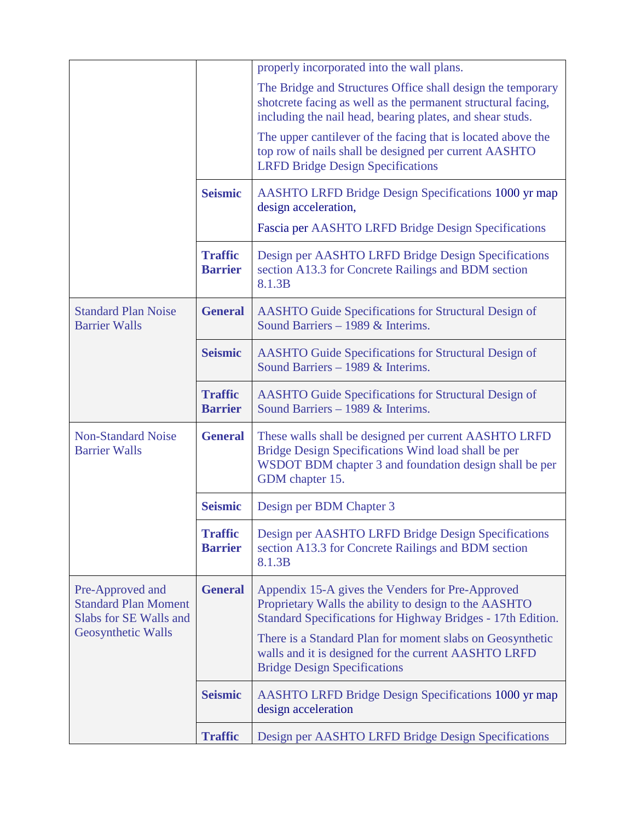|                                                                                                 |                                  | properly incorporated into the wall plans.                                                                                                                                                                                                                                                                                           |
|-------------------------------------------------------------------------------------------------|----------------------------------|--------------------------------------------------------------------------------------------------------------------------------------------------------------------------------------------------------------------------------------------------------------------------------------------------------------------------------------|
|                                                                                                 |                                  | The Bridge and Structures Office shall design the temporary<br>shotcrete facing as well as the permanent structural facing,<br>including the nail head, bearing plates, and shear studs.                                                                                                                                             |
|                                                                                                 |                                  | The upper cantilever of the facing that is located above the<br>top row of nails shall be designed per current AASHTO<br><b>LRFD Bridge Design Specifications</b>                                                                                                                                                                    |
|                                                                                                 | <b>Seismic</b>                   | <b>AASHTO LRFD Bridge Design Specifications 1000 yr map</b><br>design acceleration,                                                                                                                                                                                                                                                  |
|                                                                                                 |                                  | Fascia per AASHTO LRFD Bridge Design Specifications                                                                                                                                                                                                                                                                                  |
|                                                                                                 | <b>Traffic</b><br><b>Barrier</b> | Design per AASHTO LRFD Bridge Design Specifications<br>section A13.3 for Concrete Railings and BDM section<br>8.1.3B                                                                                                                                                                                                                 |
| <b>Standard Plan Noise</b><br><b>Barrier Walls</b>                                              | <b>General</b>                   | <b>AASHTO Guide Specifications for Structural Design of</b><br>Sound Barriers - 1989 & Interims.                                                                                                                                                                                                                                     |
|                                                                                                 | <b>Seismic</b>                   | <b>AASHTO Guide Specifications for Structural Design of</b><br>Sound Barriers - 1989 & Interims.                                                                                                                                                                                                                                     |
|                                                                                                 | <b>Traffic</b><br><b>Barrier</b> | <b>AASHTO Guide Specifications for Structural Design of</b><br>Sound Barriers - 1989 & Interims.                                                                                                                                                                                                                                     |
| <b>Non-Standard Noise</b><br><b>Barrier Walls</b>                                               | <b>General</b>                   | These walls shall be designed per current AASHTO LRFD<br>Bridge Design Specifications Wind load shall be per<br>WSDOT BDM chapter 3 and foundation design shall be per<br>GDM chapter 15.                                                                                                                                            |
|                                                                                                 | <b>Seismic</b>                   | Design per BDM Chapter 3                                                                                                                                                                                                                                                                                                             |
|                                                                                                 | <b>Traffic</b><br><b>Barrier</b> | Design per AASHTO LRFD Bridge Design Specifications<br>section A13.3 for Concrete Railings and BDM section<br>8.1.3B                                                                                                                                                                                                                 |
| Pre-Approved and<br><b>Standard Plan Moment</b><br>Slabs for SE Walls and<br>Geosynthetic Walls | <b>General</b>                   | Appendix 15-A gives the Venders for Pre-Approved<br>Proprietary Walls the ability to design to the AASHTO<br>Standard Specifications for Highway Bridges - 17th Edition.<br>There is a Standard Plan for moment slabs on Geosynthetic<br>walls and it is designed for the current AASHTO LRFD<br><b>Bridge Design Specifications</b> |
|                                                                                                 | <b>Seismic</b>                   | <b>AASHTO LRFD Bridge Design Specifications 1000 yr map</b><br>design acceleration                                                                                                                                                                                                                                                   |
|                                                                                                 | <b>Traffic</b>                   | Design per AASHTO LRFD Bridge Design Specifications                                                                                                                                                                                                                                                                                  |